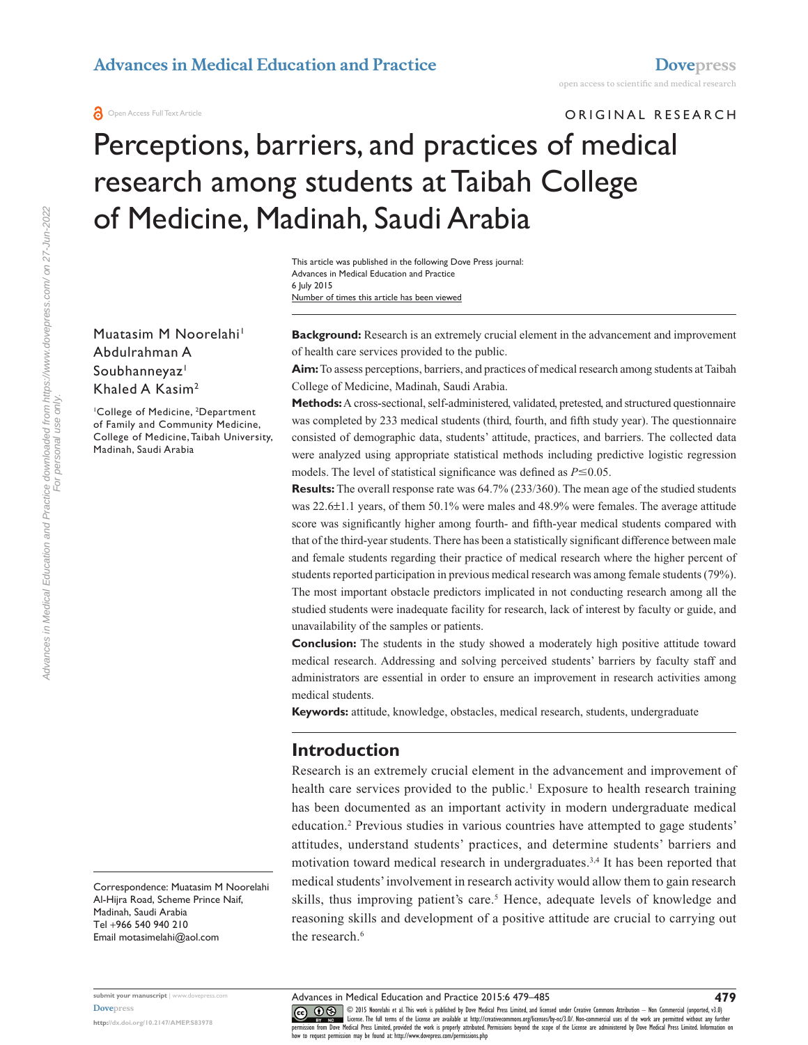ORIGINAL RESEARCH

# Perceptions, barriers, and practices of medical research among students at Taibah College of Medicine, Madinah, Saudi Arabia

Number of times this article has been viewed This article was published in the following Dove Press journal: Advances in Medical Education and Practice 6 July 2015

Muatasim M Noorelahi<sup>1</sup> Abdulrahman A Soubhanneyaz<sup>1</sup> Khaled A Kasim2

<sup>1</sup>College of Medicine, <sup>2</sup>Department of Family and Community Medicine, College of Medicine, Taibah University, Madinah, Saudi Arabia

**Background:** Research is an extremely crucial element in the advancement and improvement of health care services provided to the public.

**Aim:** To assess perceptions, barriers, and practices of medical research among students at Taibah College of Medicine, Madinah, Saudi Arabia.

**Methods:** A cross-sectional, self-administered, validated, pretested, and structured questionnaire was completed by 233 medical students (third, fourth, and fifth study year). The questionnaire consisted of demographic data, students' attitude, practices, and barriers. The collected data were analyzed using appropriate statistical methods including predictive logistic regression models. The level of statistical significance was defined as  $P \le 0.05$ .

**Results:** The overall response rate was 64.7% (233/360). The mean age of the studied students was 22.6±1.1 years, of them 50.1% were males and 48.9% were females. The average attitude score was significantly higher among fourth- and fifth-year medical students compared with that of the third-year students. There has been a statistically significant difference between male and female students regarding their practice of medical research where the higher percent of students reported participation in previous medical research was among female students (79%). The most important obstacle predictors implicated in not conducting research among all the studied students were inadequate facility for research, lack of interest by faculty or guide, and unavailability of the samples or patients.

**Conclusion:** The students in the study showed a moderately high positive attitude toward medical research. Addressing and solving perceived students' barriers by faculty staff and administrators are essential in order to ensure an improvement in research activities among medical students.

**Keywords:** attitude, knowledge, obstacles, medical research, students, undergraduate

## **Introduction**

Research is an extremely crucial element in the advancement and improvement of health care services provided to the public.<sup>1</sup> Exposure to health research training has been documented as an important activity in modern undergraduate medical education.<sup>2</sup> Previous studies in various countries have attempted to gage students' attitudes, understand students' practices, and determine students' barriers and motivation toward medical research in undergraduates.3,4 It has been reported that medical students' involvement in research activity would allow them to gain research skills, thus improving patient's care.<sup>5</sup> Hence, adequate levels of knowledge and reasoning skills and development of a positive attitude are crucial to carrying out the research.<sup>6</sup>

Correspondence: Muatasim M Noorelahi Al-Hijra Road, Scheme Prince Naif, Madinah, Saudi Arabia Tel +966 540 940 210 Email [motasimelahi@aol.com](mailto:motasimelahi@aol.com)

For personal use only.

**submit your manuscript** | <www.dovepress.com> **[Dovepress](www.dovepress.com)**

**<http://dx.doi.org/10.2147/AMEP.S83978>**

CO ODIS Noorelahi et al. This work is published by Dove Medical Press Limited, and licensed under Creative Commons Attribution - Non Commercial (unported, v3.0)<br> [permission from Dove M](http://www.dovepress.com/permissions.php)edical Press Limited, provided the wor how to request permission may be found at:<http://www.dovepress.com/permissions.php>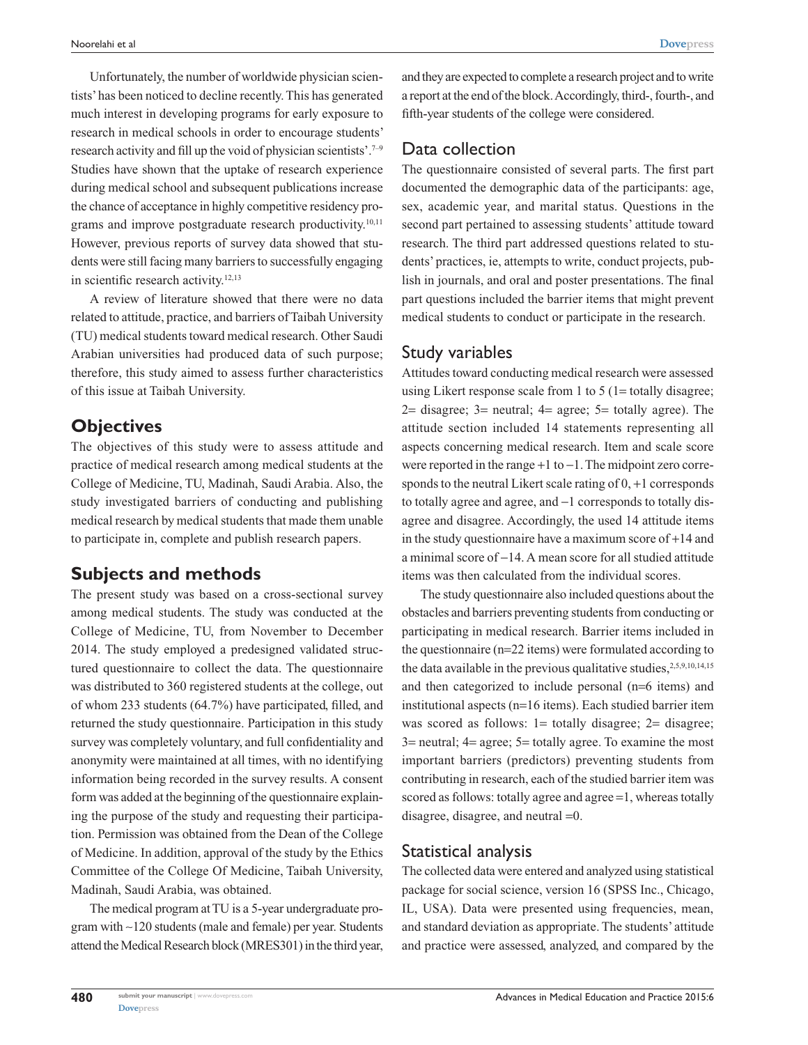Unfortunately, the number of worldwide physician scientists' has been noticed to decline recently. This has generated much interest in developing programs for early exposure to research in medical schools in order to encourage students' research activity and fill up the void of physician scientists'.7–9 Studies have shown that the uptake of research experience during medical school and subsequent publications increase the chance of acceptance in highly competitive residency programs and improve postgraduate research productivity.<sup>10,11</sup> However, previous reports of survey data showed that students were still facing many barriers to successfully engaging in scientific research activity.<sup>12,13</sup>

A review of literature showed that there were no data related to attitude, practice, and barriers of Taibah University (TU) medical students toward medical research. Other Saudi Arabian universities had produced data of such purpose; therefore, this study aimed to assess further characteristics of this issue at Taibah University.

## **Objectives**

The objectives of this study were to assess attitude and practice of medical research among medical students at the College of Medicine, TU, Madinah, Saudi Arabia. Also, the study investigated barriers of conducting and publishing medical research by medical students that made them unable to participate in, complete and publish research papers.

## **Subjects and methods**

The present study was based on a cross-sectional survey among medical students. The study was conducted at the College of Medicine, TU, from November to December 2014. The study employed a predesigned validated structured questionnaire to collect the data. The questionnaire was distributed to 360 registered students at the college, out of whom 233 students (64.7%) have participated, filled, and returned the study questionnaire. Participation in this study survey was completely voluntary, and full confidentiality and anonymity were maintained at all times, with no identifying information being recorded in the survey results. A consent form was added at the beginning of the questionnaire explaining the purpose of the study and requesting their participation. Permission was obtained from the Dean of the College of Medicine. In addition, approval of the study by the Ethics Committee of the College Of Medicine, Taibah University, Madinah, Saudi Arabia, was obtained.

The medical program at TU is a 5-year undergraduate program with ∼120 students (male and female) per year. Students attend the Medical Research block (MRES301) in the third year,

and they are expected to complete a research project and to write a report at the end of the block. Accordingly, third-, fourth-, and fifth-year students of the college were considered.

## Data collection

The questionnaire consisted of several parts. The first part documented the demographic data of the participants: age, sex, academic year, and marital status. Questions in the second part pertained to assessing students' attitude toward research. The third part addressed questions related to students' practices, ie, attempts to write, conduct projects, publish in journals, and oral and poster presentations. The final part questions included the barrier items that might prevent medical students to conduct or participate in the research.

## Study variables

Attitudes toward conducting medical research were assessed using Likert response scale from 1 to 5 (1= totally disagree;  $2=$  disagree;  $3=$  neutral;  $4=$  agree;  $5=$  totally agree). The attitude section included 14 statements representing all aspects concerning medical research. Item and scale score were reported in the range +1 to −1. The midpoint zero corresponds to the neutral Likert scale rating of 0, +1 corresponds to totally agree and agree, and −1 corresponds to totally disagree and disagree. Accordingly, the used 14 attitude items in the study questionnaire have a maximum score of +14 and a minimal score of −14. A mean score for all studied attitude items was then calculated from the individual scores.

The study questionnaire also included questions about the obstacles and barriers preventing students from conducting or participating in medical research. Barrier items included in the questionnaire (n=22 items) were formulated according to the data available in the previous qualitative studies,<sup>2,5,9,10,14,15</sup> and then categorized to include personal (n=6 items) and institutional aspects (n=16 items). Each studied barrier item was scored as follows: 1= totally disagree; 2= disagree; 3= neutral; 4= agree; 5= totally agree. To examine the most important barriers (predictors) preventing students from contributing in research, each of the studied barrier item was scored as follows: totally agree and agree =1, whereas totally disagree, disagree, and neutral =0.

## Statistical analysis

The collected data were entered and analyzed using statistical package for social science, version 16 (SPSS Inc., Chicago, IL, USA). Data were presented using frequencies, mean, and standard deviation as appropriate. The students' attitude and practice were assessed, analyzed, and compared by the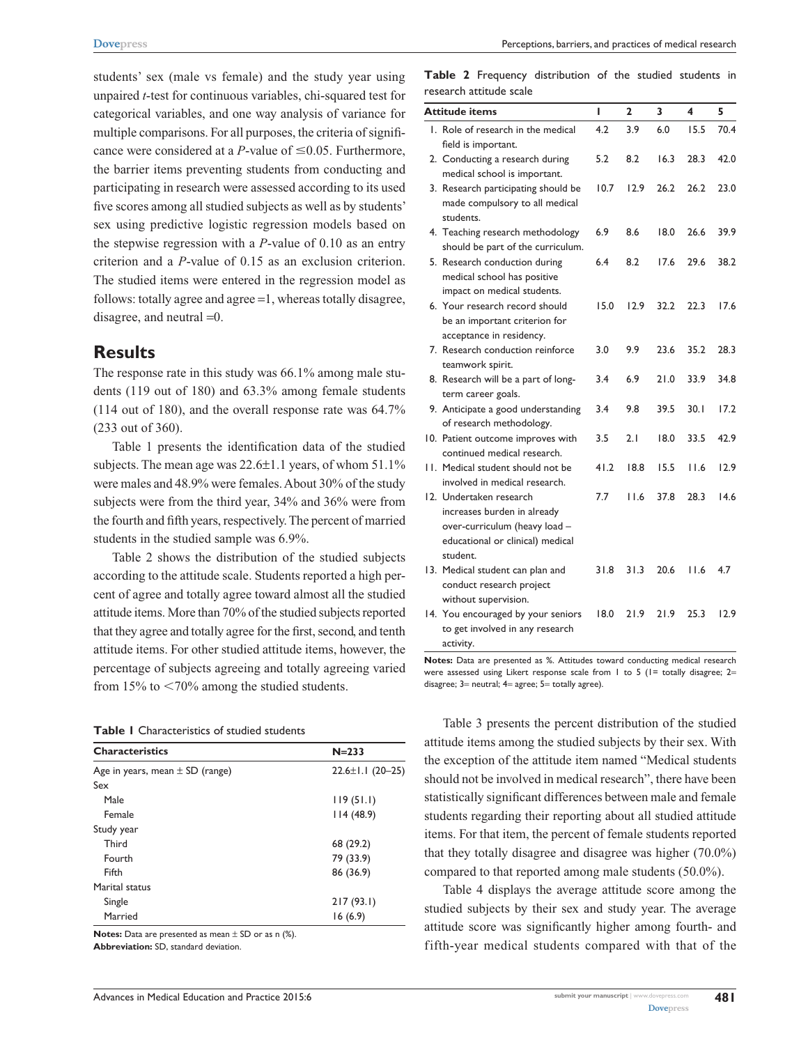students' sex (male vs female) and the study year using unpaired *t*-test for continuous variables, chi-squared test for categorical variables, and one way analysis of variance for multiple comparisons. For all purposes, the criteria of significance were considered at a *P*-value of  $\leq 0.05$ . Furthermore, the barrier items preventing students from conducting and participating in research were assessed according to its used five scores among all studied subjects as well as by students' sex using predictive logistic regression models based on the stepwise regression with a *P*-value of 0.10 as an entry criterion and a *P*-value of 0.15 as an exclusion criterion. The studied items were entered in the regression model as follows: totally agree and agree =1, whereas totally disagree, disagree, and neutral =0.

## **Results**

The response rate in this study was 66.1% among male students (119 out of 180) and 63.3% among female students (114 out of 180), and the overall response rate was 64.7% (233 out of 360).

Table 1 presents the identification data of the studied subjects. The mean age was 22.6±1.1 years, of whom 51.1% were males and 48.9% were females. About 30% of the study subjects were from the third year, 34% and 36% were from the fourth and fifth years, respectively. The percent of married students in the studied sample was 6.9%.

Table 2 shows the distribution of the studied subjects according to the attitude scale. Students reported a high percent of agree and totally agree toward almost all the studied attitude items. More than 70% of the studied subjects reported that they agree and totally agree for the first, second, and tenth attitude items. For other studied attitude items, however, the percentage of subjects agreeing and totally agreeing varied from 15% to  $\leq$ 70% among the studied students.

#### **Table 1** Characteristics of studied students

| <b>Characteristics</b>              | $N = 233$              |
|-------------------------------------|------------------------|
| Age in years, mean $\pm$ SD (range) | $22.6 \pm 1.1$ (20-25) |
| Sex                                 |                        |
| Male                                | 119(51.1)              |
| Female                              | 114(48.9)              |
| Study year                          |                        |
| Third                               | 68 (29.2)              |
| Fourth                              | 79 (33.9)              |
| Fifth                               | 86 (36.9)              |
| Marital status                      |                        |
| Single                              | 217(93.1)              |
| Married                             | 16(6.9)                |
|                                     |                        |

**Notes:** Data are presented as mean ± SD or as n (%).

**Abbreviation:** SD, standard deviation.

**Table 2** Frequency distribution of the studied students in research attitude scale

| Attitude items                                                                                                                          | ı    | 2    | 3    | 4    | 5    |
|-----------------------------------------------------------------------------------------------------------------------------------------|------|------|------|------|------|
| 1. Role of research in the medical                                                                                                      | 4.2  | 3.9  | 6.0  | 15.5 | 70.4 |
| field is important.                                                                                                                     |      |      |      |      |      |
| 2. Conducting a research during<br>medical school is important.                                                                         | 5.2  | 8.2  | 16.3 | 28.3 | 42.0 |
| 3. Research participating should be<br>made compulsory to all medical<br>students.                                                      | 10.7 | 12.9 | 26.2 | 26.2 | 23.0 |
| 4. Teaching research methodology<br>should be part of the curriculum.                                                                   | 6.9  | 8.6  | 18.0 | 26.6 | 39.9 |
| 5. Research conduction during<br>medical school has positive<br>impact on medical students.                                             | 6.4  | 8.2  | 17.6 | 29.6 | 38.2 |
| 6. Your research record should<br>be an important criterion for<br>acceptance in residency.                                             | 15.0 | 12.9 | 32.2 | 22.3 | 17.6 |
| 7. Research conduction reinforce<br>teamwork spirit.                                                                                    | 3.0  | 9.9  | 23.6 | 35.2 | 28.3 |
| 8. Research will be a part of long-<br>term career goals.                                                                               | 3.4  | 6.9  | 21.0 | 33.9 | 34.8 |
| 9. Anticipate a good understanding<br>of research methodology.                                                                          | 3.4  | 9.8  | 39.5 | 30.1 | 17.2 |
| 10. Patient outcome improves with<br>continued medical research.                                                                        | 3.5  | 2.1  | 18.0 | 33.5 | 42.9 |
| 11. Medical student should not be<br>involved in medical research.                                                                      | 41.2 | 18.8 | 15.5 | 11.6 | 12.9 |
| 12. Undertaken research<br>increases burden in already<br>over-curriculum (heavy load -<br>educational or clinical) medical<br>student. | 7.7  | 11.6 | 37.8 | 28.3 | 14.6 |
| 13. Medical student can plan and<br>conduct research project<br>without supervision.                                                    | 31.8 | 31.3 | 20.6 | 11.6 | 4.7  |
| 14. You encouraged by your seniors<br>to get involved in any research<br>activity.                                                      | 18.0 | 21.9 | 21.9 | 25.3 | 12.9 |

**Notes:** Data are presented as %. Attitudes toward conducting medical research were assessed using Likert response scale from  $1$  to  $5$  ( $1=$  totally disagree;  $2=$ disagree; 3= neutral; 4= agree; 5= totally agree).

Table 3 presents the percent distribution of the studied attitude items among the studied subjects by their sex. With the exception of the attitude item named "Medical students should not be involved in medical research", there have been statistically significant differences between male and female students regarding their reporting about all studied attitude items. For that item, the percent of female students reported that they totally disagree and disagree was higher (70.0%) compared to that reported among male students (50.0%).

Table 4 displays the average attitude score among the studied subjects by their sex and study year. The average attitude score was significantly higher among fourth- and fifth-year medical students compared with that of the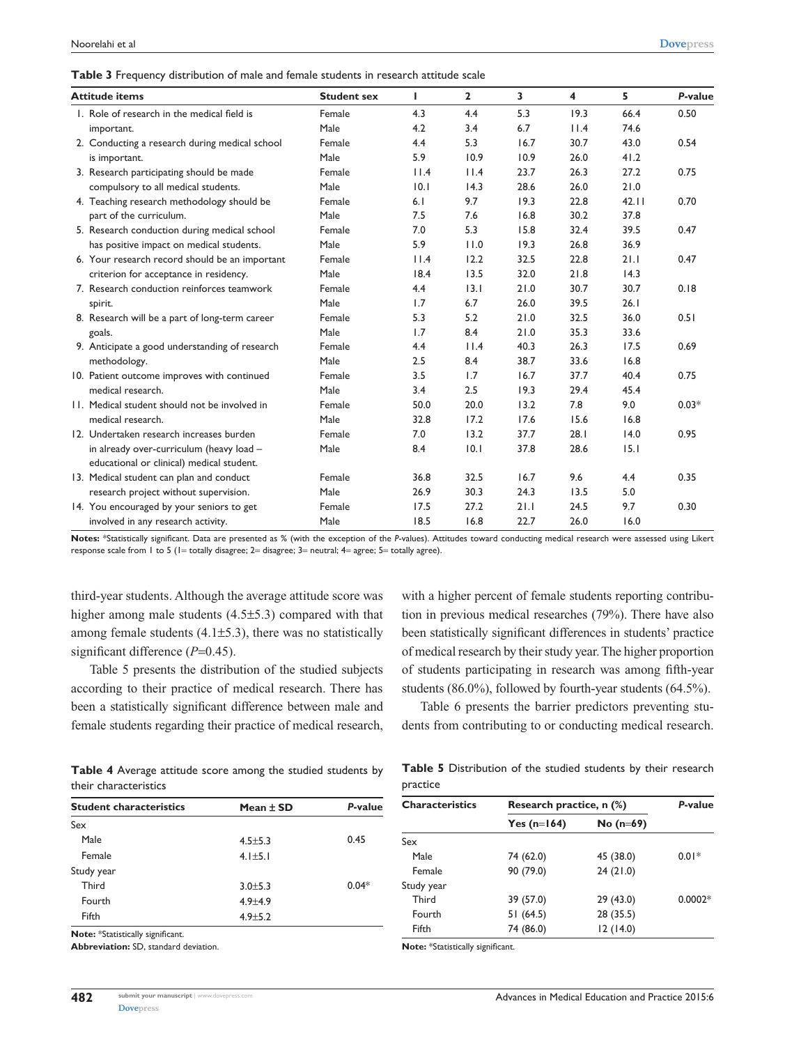|  |  |  | Table 3 Frequency distribution of male and female students in research attitude scale |
|--|--|--|---------------------------------------------------------------------------------------|
|--|--|--|---------------------------------------------------------------------------------------|

| <b>Attitude items</b>                       |                                                | <b>Student sex</b> | г    | $\mathbf{2}$ | 3    | 4    | 5     | P-value |
|---------------------------------------------|------------------------------------------------|--------------------|------|--------------|------|------|-------|---------|
| 1. Role of research in the medical field is |                                                | Female             | 4.3  | 4.4          | 5.3  | 19.3 | 66.4  | 0.50    |
| important.                                  |                                                | Male               | 4.2  | 3.4          | 6.7  | 11.4 | 74.6  |         |
|                                             | 2. Conducting a research during medical school | Female             | 4.4  | 5.3          | 16.7 | 30.7 | 43.0  | 0.54    |
| is important.                               |                                                | Male               | 5.9  | 10.9         | 10.9 | 26.0 | 41.2  |         |
|                                             | 3. Research participating should be made       | Female             | 11.4 | 11.4         | 23.7 | 26.3 | 27.2  | 0.75    |
| compulsory to all medical students.         |                                                | Male               | 0.1  | 14.3         | 28.6 | 26.0 | 21.0  |         |
|                                             | 4. Teaching research methodology should be     | Female             | 6.1  | 9.7          | 19.3 | 22.8 | 42.11 | 0.70    |
| part of the curriculum.                     |                                                | Male               | 7.5  | 7.6          | 16.8 | 30.2 | 37.8  |         |
|                                             | 5. Research conduction during medical school   | Female             | 7.0  | 5.3          | 15.8 | 32.4 | 39.5  | 0.47    |
|                                             | has positive impact on medical students.       | Male               | 5.9  | 11.0         | 19.3 | 26.8 | 36.9  |         |
|                                             | 6. Your research record should be an important | Female             | 11.4 | 12.2         | 32.5 | 22.8 | 21.1  | 0.47    |
|                                             | criterion for acceptance in residency.         | Male               | 18.4 | 13.5         | 32.0 | 21.8 | 14.3  |         |
|                                             | 7. Research conduction reinforces teamwork     | Female             | 4.4  | 13.1         | 21.0 | 30.7 | 30.7  | 0.18    |
| spirit.                                     |                                                | Male               | 1.7  | 6.7          | 26.0 | 39.5 | 26.1  |         |
|                                             | 8. Research will be a part of long-term career | Female             | 5.3  | 5.2          | 21.0 | 32.5 | 36.0  | 0.51    |
| goals.                                      |                                                | Male               | 1.7  | 8.4          | 21.0 | 35.3 | 33.6  |         |
|                                             | 9. Anticipate a good understanding of research | Female             | 4.4  | 11.4         | 40.3 | 26.3 | 17.5  | 0.69    |
| methodology.                                |                                                | Male               | 2.5  | 8.4          | 38.7 | 33.6 | 16.8  |         |
|                                             | 10. Patient outcome improves with continued    | Female             | 3.5  | 1.7          | 16.7 | 37.7 | 40.4  | 0.75    |
| medical research.                           |                                                | Male               | 3.4  | 2.5          | 19.3 | 29.4 | 45.4  |         |
|                                             | 11. Medical student should not be involved in  | Female             | 50.0 | 20.0         | 13.2 | 7.8  | 9.0   | $0.03*$ |
| medical research.                           |                                                | Male               | 32.8 | 17.2         | 17.6 | 15.6 | 16.8  |         |
| 12. Undertaken research increases burden    |                                                | Female             | 7.0  | 13.2         | 37.7 | 28.1 | 14.0  | 0.95    |
|                                             | in already over-curriculum (heavy load -       | Male               | 8.4  | 10.1         | 37.8 | 28.6 | 15.1  |         |
|                                             | educational or clinical) medical student.      |                    |      |              |      |      |       |         |
| 13. Medical student can plan and conduct    |                                                | Female             | 36.8 | 32.5         | 16.7 | 9.6  | 4.4   | 0.35    |
|                                             | research project without supervision.          | Male               | 26.9 | 30.3         | 24.3 | 13.5 | 5.0   |         |
|                                             | 14. You encouraged by your seniors to get      | Female             | 17.5 | 27.2         | 21.1 | 24.5 | 9.7   | 0.30    |
| involved in any research activity.          |                                                | Male               | 18.5 | 16.8         | 22.7 | 26.0 | 16.0  |         |

**Notes:** \*Statistically significant. Data are presented as % (with the exception of the *P*-values). Attitudes toward conducting medical research were assessed using Likert response scale from 1 to 5 (1= totally disagree; 2= disagree; 3= neutral; 4= agree; 5= totally agree).

third-year students. Although the average attitude score was higher among male students (4.5±5.3) compared with that among female students  $(4.1\pm5.3)$ , there was no statistically significant difference (*P*=0.45).

Table 5 presents the distribution of the studied subjects according to their practice of medical research. There has been a statistically significant difference between male and female students regarding their practice of medical research, with a higher percent of female students reporting contribution in previous medical researches (79%). There have also been statistically significant differences in students' practice of medical research by their study year. The higher proportion of students participating in research was among fifth-year students (86.0%), followed by fourth-year students (64.5%).

Table 6 presents the barrier predictors preventing students from contributing to or conducting medical research.

| <b>Table 4</b> Average attitude score among the studied students by |  |  |  |  |
|---------------------------------------------------------------------|--|--|--|--|
| their characteristics                                               |  |  |  |  |

|          | Table 5 Distribution of the studied students by their research |  |  |  |  |
|----------|----------------------------------------------------------------|--|--|--|--|
| practice |                                                                |  |  |  |  |

**Characteristics Research practice, n (%)** *P***-value**

Male 74 (62.0) 45 (38.0) 0.01\*

**Yes (n**=**164) No (n**=**69)**

| <b>Student characteristics</b> | Mean $\pm$ SD | P-value |
|--------------------------------|---------------|---------|
| Sex                            |               |         |
| Male                           | $4.5 \pm 5.3$ | 0.45    |
| Female                         | $4.1 \pm 5.1$ |         |
| Study year                     |               |         |
| Third                          | $3.0 + 5.3$   | $0.04*$ |
| Fourth                         | $4.9 + 4.9$   |         |
| Fifth                          | $4.9 \pm 5.2$ |         |
|                                |               |         |

**Note:** \*Statistically significant.

**Abbreviation:** SD, standard deviation.

| $0.0002*$ |
|-----------|
|           |
|           |
|           |

Female 90 (79.0) 24 (21.0)

**Note:** \*Statistically sig

Sex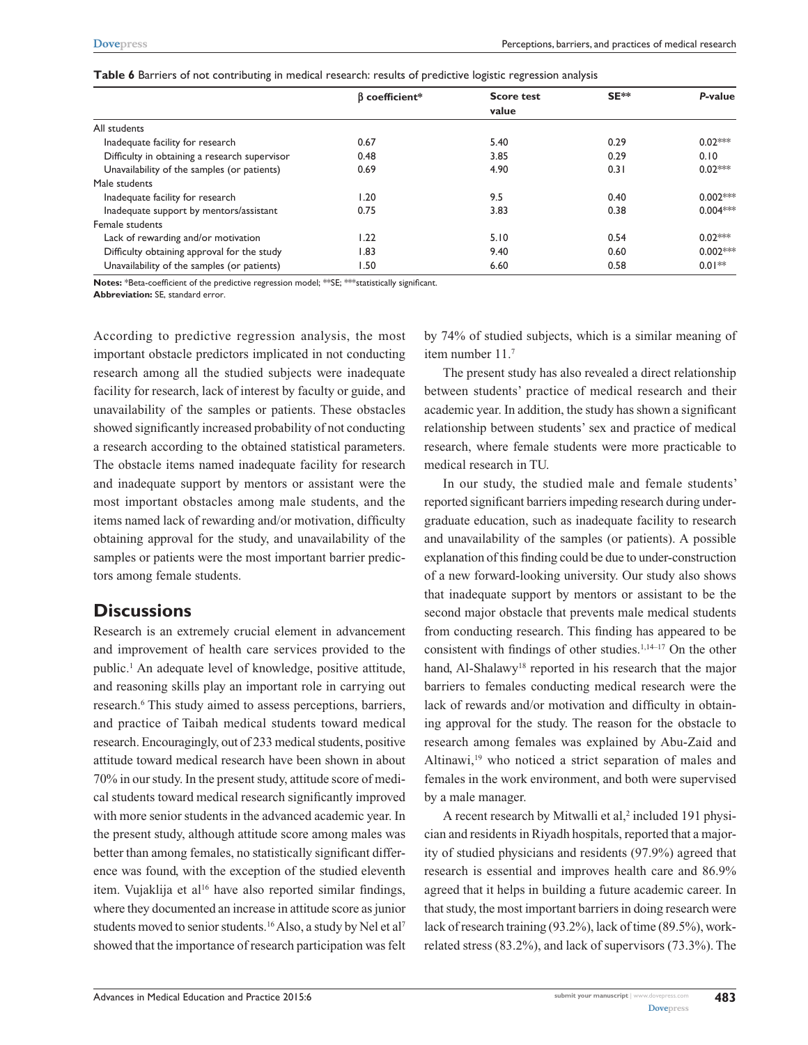| Table 6 Barriers of not contributing in medical research: results of predictive logistic regression analysis |  |
|--------------------------------------------------------------------------------------------------------------|--|
|--------------------------------------------------------------------------------------------------------------|--|

|                                               | $\beta$ coefficient* | <b>Score test</b> | SE** | P-value    |
|-----------------------------------------------|----------------------|-------------------|------|------------|
|                                               |                      | value             |      |            |
| All students                                  |                      |                   |      |            |
| Inadequate facility for research              | 0.67                 | 5.40              | 0.29 | $0.02***$  |
| Difficulty in obtaining a research supervisor | 0.48                 | 3.85              | 0.29 | 0.10       |
| Unavailability of the samples (or patients)   | 0.69                 | 4.90              | 0.31 | $0.02***$  |
| Male students                                 |                      |                   |      |            |
| Inadequate facility for research              | 20. ا                | 9.5               | 0.40 | $0.002***$ |
| Inadequate support by mentors/assistant       | 0.75                 | 3.83              | 0.38 | $0.004***$ |
| Female students                               |                      |                   |      |            |
| Lack of rewarding and/or motivation           | 1.22                 | 5.10              | 0.54 | $0.02***$  |
| Difficulty obtaining approval for the study   | I.83                 | 9.40              | 0.60 | $0.002***$ |
| Unavailability of the samples (or patients)   | 1.50                 | 6.60              | 0.58 | $0.01**$   |

**Notes:** \*Beta-coefficient of the predictive regression model; \*\*SE; \*\*\*statistically significant.

**Abbreviation:** SE, standard error.

According to predictive regression analysis, the most important obstacle predictors implicated in not conducting research among all the studied subjects were inadequate facility for research, lack of interest by faculty or guide, and unavailability of the samples or patients. These obstacles showed significantly increased probability of not conducting a research according to the obtained statistical parameters. The obstacle items named inadequate facility for research and inadequate support by mentors or assistant were the most important obstacles among male students, and the items named lack of rewarding and/or motivation, difficulty obtaining approval for the study, and unavailability of the samples or patients were the most important barrier predictors among female students.

# **Discussions**

Research is an extremely crucial element in advancement and improvement of health care services provided to the public.<sup>1</sup> An adequate level of knowledge, positive attitude, and reasoning skills play an important role in carrying out research.<sup>6</sup> This study aimed to assess perceptions, barriers, and practice of Taibah medical students toward medical research. Encouragingly, out of 233 medical students, positive attitude toward medical research have been shown in about 70% in our study. In the present study, attitude score of medical students toward medical research significantly improved with more senior students in the advanced academic year. In the present study, although attitude score among males was better than among females, no statistically significant difference was found, with the exception of the studied eleventh item. Vujaklija et al<sup>16</sup> have also reported similar findings, where they documented an increase in attitude score as junior students moved to senior students.<sup>16</sup> Also, a study by Nel et al<sup>7</sup> showed that the importance of research participation was felt

by 74% of studied subjects, which is a similar meaning of item number 11.7

The present study has also revealed a direct relationship between students' practice of medical research and their academic year. In addition, the study has shown a significant relationship between students' sex and practice of medical research, where female students were more practicable to medical research in TU.

In our study, the studied male and female students' reported significant barriers impeding research during undergraduate education, such as inadequate facility to research and unavailability of the samples (or patients). A possible explanation of this finding could be due to under-construction of a new forward-looking university. Our study also shows that inadequate support by mentors or assistant to be the second major obstacle that prevents male medical students from conducting research. This finding has appeared to be consistent with findings of other studies. $1,14-17$  On the other hand, Al-Shalawy<sup>18</sup> reported in his research that the major barriers to females conducting medical research were the lack of rewards and/or motivation and difficulty in obtaining approval for the study. The reason for the obstacle to research among females was explained by Abu-Zaid and Altinawi,19 who noticed a strict separation of males and females in the work environment, and both were supervised by a male manager.

A recent research by Mitwalli et al,<sup>2</sup> included 191 physician and residents in Riyadh hospitals, reported that a majority of studied physicians and residents (97.9%) agreed that research is essential and improves health care and 86.9% agreed that it helps in building a future academic career. In that study, the most important barriers in doing research were lack of research training (93.2%), lack of time (89.5%), workrelated stress (83.2%), and lack of supervisors (73.3%). The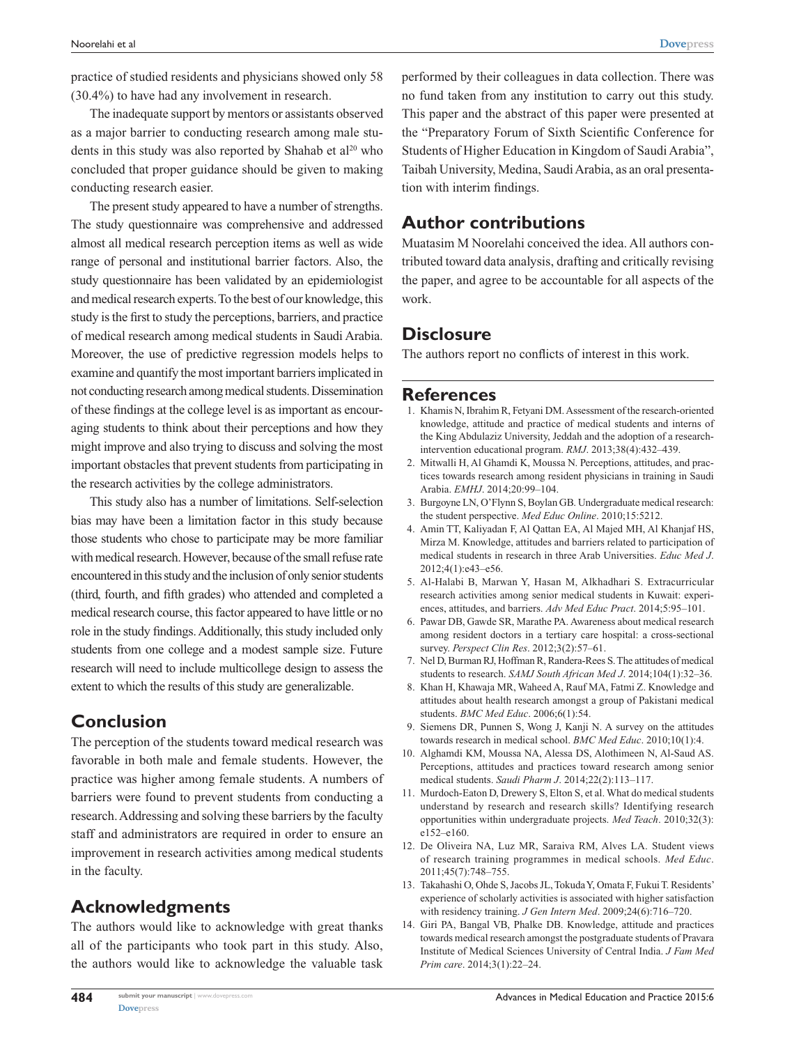practice of studied residents and physicians showed only 58 (30.4%) to have had any involvement in research.

The inadequate support by mentors or assistants observed as a major barrier to conducting research among male students in this study was also reported by Shahab et al<sup>20</sup> who concluded that proper guidance should be given to making conducting research easier.

The present study appeared to have a number of strengths. The study questionnaire was comprehensive and addressed almost all medical research perception items as well as wide range of personal and institutional barrier factors. Also, the study questionnaire has been validated by an epidemiologist and medical research experts. To the best of our knowledge, this study is the first to study the perceptions, barriers, and practice of medical research among medical students in Saudi Arabia. Moreover, the use of predictive regression models helps to examine and quantify the most important barriers implicated in not conducting research among medical students. Dissemination of these findings at the college level is as important as encouraging students to think about their perceptions and how they might improve and also trying to discuss and solving the most important obstacles that prevent students from participating in the research activities by the college administrators.

This study also has a number of limitations. Self-selection bias may have been a limitation factor in this study because those students who chose to participate may be more familiar with medical research. However, because of the small refuse rate encountered in this study and the inclusion of only senior students (third, fourth, and fifth grades) who attended and completed a medical research course, this factor appeared to have little or no role in the study findings. Additionally, this study included only students from one college and a modest sample size. Future research will need to include multicollege design to assess the extent to which the results of this study are generalizable.

# **Conclusion**

The perception of the students toward medical research was favorable in both male and female students. However, the practice was higher among female students. A numbers of barriers were found to prevent students from conducting a research. Addressing and solving these barriers by the faculty staff and administrators are required in order to ensure an improvement in research activities among medical students in the faculty.

# **Acknowledgments**

The authors would like to acknowledge with great thanks all of the participants who took part in this study. Also, the authors would like to acknowledge the valuable task

**484**

performed by their colleagues in data collection. There was no fund taken from any institution to carry out this study. This paper and the abstract of this paper were presented at the "Preparatory Forum of Sixth Scientific Conference for Students of Higher Education in Kingdom of Saudi Arabia", Taibah University, Medina, Saudi Arabia, as an oral presentation with interim findings.

## **Author contributions**

Muatasim M Noorelahi conceived the idea. All authors contributed toward data analysis, drafting and critically revising the paper, and agree to be accountable for all aspects of the work.

# **Disclosure**

The authors report no conflicts of interest in this work.

### **References**

- 1. Khamis N, Ibrahim R, Fetyani DM. Assessment of the research-oriented knowledge, attitude and practice of medical students and interns of the King Abdulaziz University, Jeddah and the adoption of a researchintervention educational program. *RMJ*. 2013;38(4):432–439.
- 2. Mitwalli H, Al Ghamdi K, Moussa N. Perceptions, attitudes, and practices towards research among resident physicians in training in Saudi Arabia. *EMHJ*. 2014;20:99–104.
- 3. Burgoyne LN, O'Flynn S, Boylan GB. Undergraduate medical research: the student perspective. *Med Educ Online*. 2010;15:5212.
- 4. Amin TT, Kaliyadan F, Al Qattan EA, Al Majed MH, Al Khanjaf HS, Mirza M. Knowledge, attitudes and barriers related to participation of medical students in research in three Arab Universities. *Educ Med J*. 2012;4(1):e43–e56.
- 5. Al-Halabi B, Marwan Y, Hasan M, Alkhadhari S. Extracurricular research activities among senior medical students in Kuwait: experiences, attitudes, and barriers. *Adv Med Educ Pract*. 2014;5:95–101.
- 6. Pawar DB, Gawde SR, Marathe PA. Awareness about medical research among resident doctors in a tertiary care hospital: a cross-sectional survey. *Perspect Clin Res*. 2012;3(2):57–61.
- 7. Nel D, Burman RJ, Hoffman R, Randera-Rees S. The attitudes of medical students to research. *SAMJ South African Med J*. 2014;104(1):32–36.
- 8. Khan H, Khawaja MR, Waheed A, Rauf MA, Fatmi Z. Knowledge and attitudes about health research amongst a group of Pakistani medical students. *BMC Med Educ*. 2006;6(1):54.
- 9. Siemens DR, Punnen S, Wong J, Kanji N. A survey on the attitudes towards research in medical school. *BMC Med Educ*. 2010;10(1):4.
- 10. Alghamdi KM, Moussa NA, Alessa DS, Alothimeen N, Al-Saud AS. Perceptions, attitudes and practices toward research among senior medical students. *Saudi Pharm J*. 2014;22(2):113–117.
- 11. Murdoch-Eaton D, Drewery S, Elton S, et al. What do medical students understand by research and research skills? Identifying research opportunities within undergraduate projects. *Med Teach*. 2010;32(3): e152–e160.
- 12. De Oliveira NA, Luz MR, Saraiva RM, Alves LA. Student views of research training programmes in medical schools. *Med Educ*. 2011;45(7):748–755.
- 13. Takahashi O, Ohde S, Jacobs JL, Tokuda Y, Omata F, Fukui T. Residents' experience of scholarly activities is associated with higher satisfaction with residency training. *J Gen Intern Med*. 2009;24(6):716–720.
- 14. Giri PA, Bangal VB, Phalke DB. Knowledge, attitude and practices towards medical research amongst the postgraduate students of Pravara Institute of Medical Sciences University of Central India. *J Fam Med Prim care*. 2014;3(1):22–24.